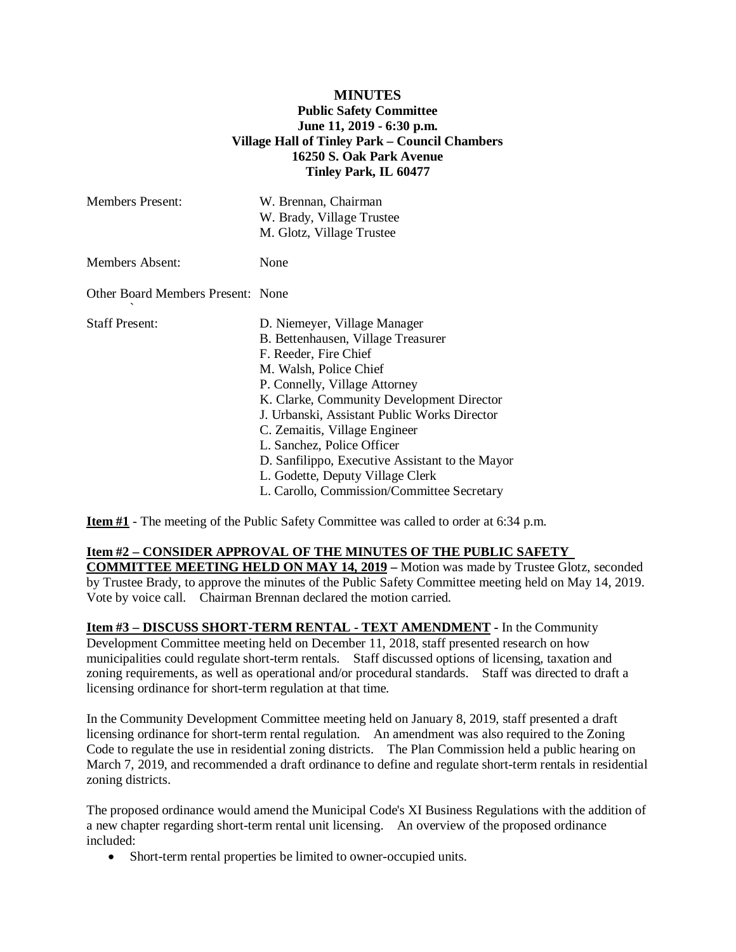## **MINUTES Public Safety Committee June 11, 2019 - 6:30 p.m. Village Hall of Tinley Park – Council Chambers 16250 S. Oak Park Avenue Tinley Park, IL 60477**

| <b>Members Present:</b>           | W. Brennan, Chairman<br>W. Brady, Village Trustee<br>M. Glotz, Village Trustee                                                                                                                                                                                                                                                                                                                                                                          |
|-----------------------------------|---------------------------------------------------------------------------------------------------------------------------------------------------------------------------------------------------------------------------------------------------------------------------------------------------------------------------------------------------------------------------------------------------------------------------------------------------------|
| <b>Members Absent:</b>            | None                                                                                                                                                                                                                                                                                                                                                                                                                                                    |
| Other Board Members Present: None |                                                                                                                                                                                                                                                                                                                                                                                                                                                         |
| <b>Staff Present:</b>             | D. Niemeyer, Village Manager<br>B. Bettenhausen, Village Treasurer<br>F. Reeder, Fire Chief<br>M. Walsh, Police Chief<br>P. Connelly, Village Attorney<br>K. Clarke, Community Development Director<br>J. Urbanski, Assistant Public Works Director<br>C. Zemaitis, Village Engineer<br>L. Sanchez, Police Officer<br>D. Sanfilippo, Executive Assistant to the Mayor<br>L. Godette, Deputy Village Clerk<br>L. Carollo, Commission/Committee Secretary |

**Item #1** - The meeting of the Public Safety Committee was called to order at 6:34 p.m.

## **Item #2 – CONSIDER APPROVAL OF THE MINUTES OF THE PUBLIC SAFETY**

**COMMITTEE MEETING HELD ON MAY 14, 2019 – Motion was made by Trustee Glotz, seconded** by Trustee Brady, to approve the minutes of the Public Safety Committee meeting held on May 14, 2019. Vote by voice call. Chairman Brennan declared the motion carried.

**Item #3 – DISCUSS SHORT-TERM RENTAL - TEXT AMENDMENT -** In the Community Development Committee meeting held on December 11, 2018, staff presented research on how municipalities could regulate short-term rentals. Staff discussed options of licensing, taxation and zoning requirements, as well as operational and/or procedural standards. Staff was directed to draft a licensing ordinance for short-term regulation at that time.

In the Community Development Committee meeting held on January 8, 2019, staff presented a draft licensing ordinance for short-term rental regulation. An amendment was also required to the Zoning Code to regulate the use in residential zoning districts. The Plan Commission held a public hearing on March 7, 2019, and recommended a draft ordinance to define and regulate short-term rentals in residential zoning districts.

The proposed ordinance would amend the Municipal Code's XI Business Regulations with the addition of a new chapter regarding short-term rental unit licensing. An overview of the proposed ordinance included:

• Short-term rental properties be limited to owner-occupied units.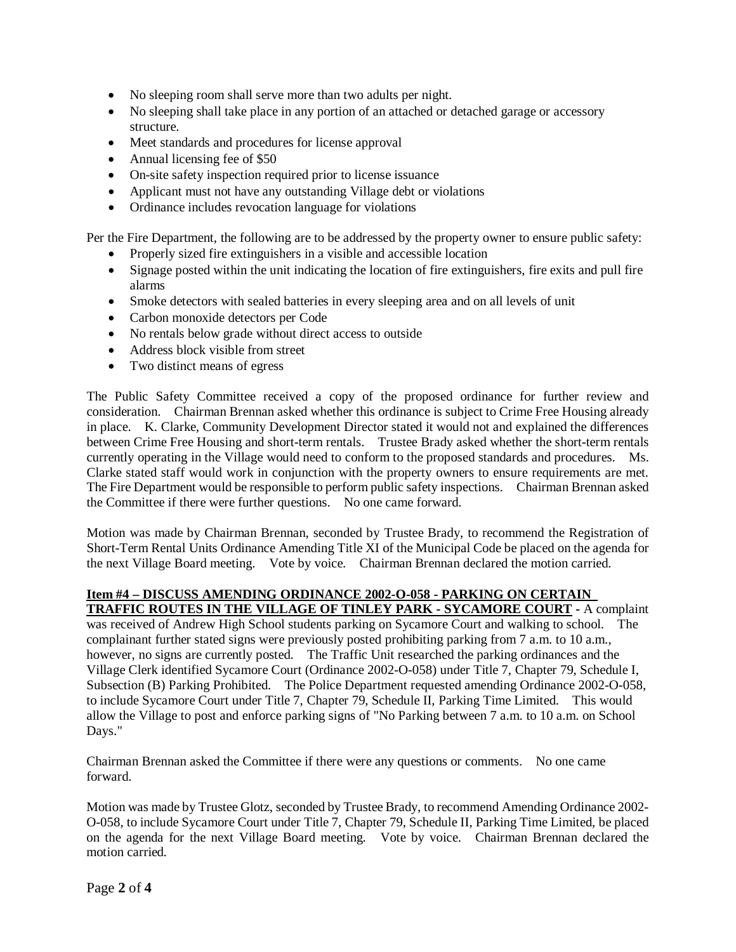- No sleeping room shall serve more than two adults per night.
- No sleeping shall take place in any portion of an attached or detached garage or accessory structure.
- Meet standards and procedures for license approval
- Annual licensing fee of \$50
- On-site safety inspection required prior to license issuance
- Applicant must not have any outstanding Village debt or violations
- Ordinance includes revocation language for violations

Per the Fire Department, the following are to be addressed by the property owner to ensure public safety:

- Properly sized fire extinguishers in a visible and accessible location
- Signage posted within the unit indicating the location of fire extinguishers, fire exits and pull fire alarms
- Smoke detectors with sealed batteries in every sleeping area and on all levels of unit
- Carbon monoxide detectors per Code
- No rentals below grade without direct access to outside
- Address block visible from street
- Two distinct means of egress

The Public Safety Committee received a copy of the proposed ordinance for further review and consideration. Chairman Brennan asked whether this ordinance is subject to Crime Free Housing already in place. K. Clarke, Community Development Director stated it would not and explained the differences between Crime Free Housing and short-term rentals. Trustee Brady asked whether the short-term rentals currently operating in the Village would need to conform to the proposed standards and procedures. Ms. Clarke stated staff would work in conjunction with the property owners to ensure requirements are met. The Fire Department would be responsible to perform public safety inspections. Chairman Brennan asked the Committee if there were further questions. No one came forward.

Motion was made by Chairman Brennan, seconded by Trustee Brady, to recommend the Registration of Short-Term Rental Units Ordinance Amending Title XI of the Municipal Code be placed on the agenda for the next Village Board meeting. Vote by voice. Chairman Brennan declared the motion carried.

#### **Item #4 – DISCUSS AMENDING ORDINANCE 2002-O-058 - PARKING ON CERTAIN TRAFFIC ROUTES IN THE VILLAGE OF TINLEY PARK - SYCAMORE COURT -** A complaint

was received of Andrew High School students parking on Sycamore Court and walking to school. The complainant further stated signs were previously posted prohibiting parking from 7 a.m. to 10 a.m., however, no signs are currently posted. The Traffic Unit researched the parking ordinances and the Village Clerk identified Sycamore Court (Ordinance 2002-O-058) under Title 7, Chapter 79, Schedule I, Subsection (B) Parking Prohibited. The Police Department requested amending Ordinance 2002-O-058, to include Sycamore Court under Title 7, Chapter 79, Schedule II, Parking Time Limited. This would allow the Village to post and enforce parking signs of "No Parking between 7 a.m. to 10 a.m. on School Days."

Chairman Brennan asked the Committee if there were any questions or comments. No one came forward.

Motion was made by Trustee Glotz, seconded by Trustee Brady, to recommend Amending Ordinance 2002- O-058, to include Sycamore Court under Title 7, Chapter 79, Schedule II, Parking Time Limited, be placed on the agenda for the next Village Board meeting. Vote by voice. Chairman Brennan declared the motion carried.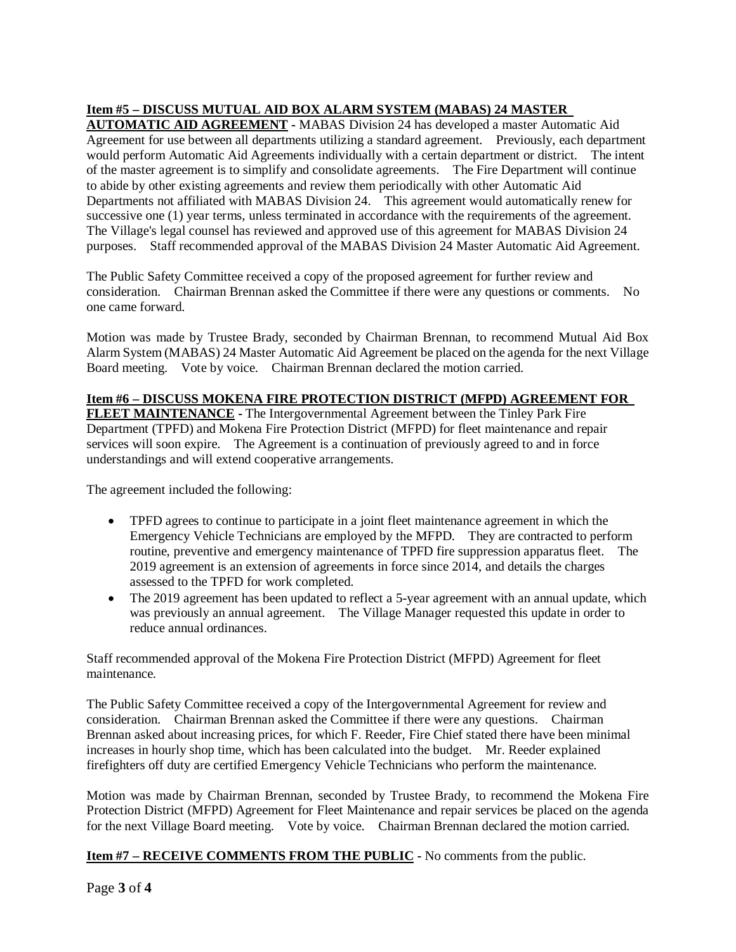# **Item #5 – DISCUSS MUTUAL AID BOX ALARM SYSTEM (MABAS) 24 MASTER**

**AUTOMATIC AID AGREEMENT -** MABAS Division 24 has developed a master Automatic Aid Agreement for use between all departments utilizing a standard agreement. Previously, each department would perform Automatic Aid Agreements individually with a certain department or district. The intent of the master agreement is to simplify and consolidate agreements. The Fire Department will continue to abide by other existing agreements and review them periodically with other Automatic Aid Departments not affiliated with MABAS Division 24. This agreement would automatically renew for successive one (1) year terms, unless terminated in accordance with the requirements of the agreement. The Village's legal counsel has reviewed and approved use of this agreement for MABAS Division 24 purposes. Staff recommended approval of the MABAS Division 24 Master Automatic Aid Agreement.

The Public Safety Committee received a copy of the proposed agreement for further review and consideration. Chairman Brennan asked the Committee if there were any questions or comments. No one came forward.

Motion was made by Trustee Brady, seconded by Chairman Brennan, to recommend Mutual Aid Box Alarm System (MABAS) 24 Master Automatic Aid Agreement be placed on the agenda for the next Village Board meeting. Vote by voice. Chairman Brennan declared the motion carried.

## **Item #6 – DISCUSS MOKENA FIRE PROTECTION DISTRICT (MFPD) AGREEMENT FOR**

**FLEET MAINTENANCE -** The Intergovernmental Agreement between the Tinley Park Fire Department (TPFD) and Mokena Fire Protection District (MFPD) for fleet maintenance and repair services will soon expire. The Agreement is a continuation of previously agreed to and in force understandings and will extend cooperative arrangements.

The agreement included the following:

- TPFD agrees to continue to participate in a joint fleet maintenance agreement in which the Emergency Vehicle Technicians are employed by the MFPD. They are contracted to perform routine, preventive and emergency maintenance of TPFD fire suppression apparatus fleet. The 2019 agreement is an extension of agreements in force since 2014, and details the charges assessed to the TPFD for work completed.
- The 2019 agreement has been updated to reflect a 5-year agreement with an annual update, which was previously an annual agreement. The Village Manager requested this update in order to reduce annual ordinances.

Staff recommended approval of the Mokena Fire Protection District (MFPD) Agreement for fleet maintenance.

The Public Safety Committee received a copy of the Intergovernmental Agreement for review and consideration. Chairman Brennan asked the Committee if there were any questions. Chairman Brennan asked about increasing prices, for which F. Reeder, Fire Chief stated there have been minimal increases in hourly shop time, which has been calculated into the budget. Mr. Reeder explained firefighters off duty are certified Emergency Vehicle Technicians who perform the maintenance.

Motion was made by Chairman Brennan, seconded by Trustee Brady, to recommend the Mokena Fire Protection District (MFPD) Agreement for Fleet Maintenance and repair services be placed on the agenda for the next Village Board meeting. Vote by voice. Chairman Brennan declared the motion carried.

## **Item #7 – RECEIVE COMMENTS FROM THE PUBLIC -** No comments from the public.